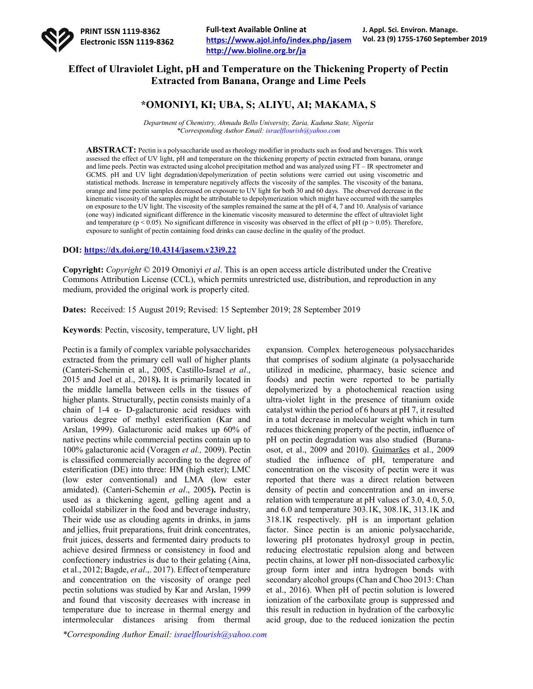

# **Effect of Ulraviolet Light, pH and Temperature on the Thickening Property of Pectin Extracted from Banana, Orange and Lime Peels**

# **\*OMONIYI, KI; UBA, S; ALIYU, AI; MAKAMA, S**

*Department of Chemistry, Ahmadu Bello University, Zaria, Kaduna State, Nigeria \*Corresponding Author Email: israelflourish@yahoo.com*

**ABSTRACT:** Pectin is a polysaccharide used as rheology modifier in products such as food and beverages. This work assessed the effect of UV light, pH and temperature on the thickening property of pectin extracted from banana, orange and lime peels. Pectin was extracted using alcohol precipitation method and was analyzed using FT – IR spectrometer and GCMS. pH and UV light degradation/depolymerization of pectin solutions were carried out using viscometric and statistical methods. Increase in temperature negatively affects the viscosity of the samples. The viscosity of the banana, orange and lime pectin samples decreased on exposure to UV light for both 30 and 60 days. The observed decrease in the kinematic viscosity of the samples might be attributable to depolymerization which might have occurred with the samples on exposure to the UV light. The viscosity of the samples remained the same at the pH of 4, 7 and 10. Analysis of variance (one way) indicated significant difference in the kinematic viscosity measured to determine the effect of ultraviolet light and temperature ( $p < 0.05$ ). No significant difference in viscosity was observed in the effect of pH ( $p > 0.05$ ). Therefore, exposure to sunlight of pectin containing food drinks can cause decline in the quality of the product.

### **DOI: https://dx.doi.org/10.4314/jasem.v23i9.22**

**Copyright:** *Copyright* © 2019 Omoniyi *et al*. This is an open access article distributed under the Creative Commons Attribution License (CCL), which permits unrestricted use, distribution, and reproduction in any medium, provided the original work is properly cited.

**Dates:** Received: 15 August 2019; Revised: 15 September 2019; 28 September 2019

**Keywords**: Pectin, viscosity, temperature, UV light, pH

Pectin is a family of complex variable polysaccharides extracted from the primary cell wall of higher plants (Canteri-Schemin et al., 2005, Castillo-Israel *et al*., 2015 and Joel et al., 2018**).** It is primarily located in the middle lamella between cells in the tissues of higher plants. Structurally, pectin consists mainly of a chain of 1-4 α- D-galacturonic acid residues with various degree of methyl esterification (Kar and Arslan, 1999). Galacturonic acid makes up 60% of native pectins while commercial pectins contain up to 100% galacturonic acid (Voragen *et al.,* 2009). Pectin is classified commercially according to the degree of esterification (DE) into three: HM (high ester); LMC (low ester conventional) and LMA (low ester amidated). (Canteri-Schemin *et al*., 2005**).** Pectin is used as a thickening agent, gelling agent and a colloidal stabilizer in the food and beverage industry, Their wide use as clouding agents in drinks, in jams and jellies, fruit preparations, fruit drink concentrates, fruit juices, desserts and fermented dairy products to achieve desired firmness or consistency in food and confectionery industries is due to their gelating (Aina, et al., 2012; Bagde, *et al*.,. 2017). Effect of temperature and concentration on the viscosity of orange peel pectin solutions was studied by Kar and Arslan, 1999 and found that viscosity decreases with increase in temperature due to increase in thermal energy and intermolecular distances arising from thermal

that comprises of sodium alginate (a polysaccharide utilized in medicine, pharmacy, basic science and foods) and pectin were reported to be partially depolymerized by a photochemical reaction using ultra-violet light in the presence of titanium oxide catalyst within the period of 6 hours at pH 7, it resulted in a total decrease in molecular weight which in turn reduces thickening property of the pectin, influence of pH on pectin degradation was also studied (Buranaosot, et al., 2009 and 2010). Guimarães et al., 2009 studied the influence of pH, temperature and concentration on the viscosity of pectin were it was reported that there was a direct relation between density of pectin and concentration and an inverse relation with temperature at pH values of 3.0, 4.0, 5.0, and 6.0 and temperature 303.1K, 308.1K, 313.1K and 318.1K respectively. pH is an important gelation factor. Since pectin is an anionic polysaccharide, lowering pH protonates hydroxyl group in pectin, reducing electrostatic repulsion along and between pectin chains, at lower pH non-dissociated carboxylic group form inter and intra hydrogen bonds with secondary alcohol groups (Chan and Choo 2013: Chan et al., 2016). When pH of pectin solution is lowered ionization of the carboxilate group is suppressed and this result in reduction in hydration of the carboxylic acid group, due to the reduced ionization the pectin

expansion. Complex heterogeneous polysaccharides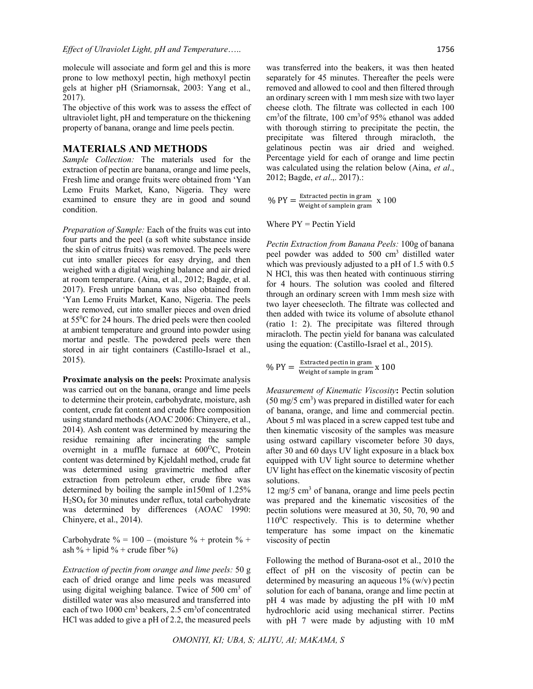molecule will associate and form gel and this is more prone to low methoxyl pectin, high methoxyl pectin gels at higher pH (Sriamornsak, 2003: Yang et al., 2017).

The objective of this work was to assess the effect of ultraviolet light, pH and temperature on the thickening property of banana, orange and lime peels pectin.

### **MATERIALS AND METHODS**

*Sample Collection:* The materials used for the extraction of pectin are banana, orange and lime peels, Fresh lime and orange fruits were obtained from 'Yan Lemo Fruits Market, Kano, Nigeria. They were examined to ensure they are in good and sound condition.

*Preparation of Sample:* Each of the fruits was cut into four parts and the peel (a soft white substance inside the skin of citrus fruits) was removed. The peels were cut into smaller pieces for easy drying, and then weighed with a digital weighing balance and air dried at room temperature. (Aina, et al., 2012; Bagde, et al. 2017). Fresh unripe banana was also obtained from 'Yan Lemo Fruits Market, Kano, Nigeria. The peels were removed, cut into smaller pieces and oven dried at 550 C for 24 hours. The dried peels were then cooled at ambient temperature and ground into powder using mortar and pestle. The powdered peels were then stored in air tight containers (Castillo-Israel et al., 2015).

**Proximate analysis on the peels:** Proximate analysis was carried out on the banana, orange and lime peels to determine their protein, carbohydrate, moisture, ash content, crude fat content and crude fibre composition using standard methods (AOAC 2006: Chinyere, et al., 2014). Ash content was determined by measuring the residue remaining after incinerating the sample overnight in a muffle furnace at 600°C, Protein content was determined by Kjeldahl method, crude fat was determined using gravimetric method after extraction from petroleum ether, crude fibre was determined by boiling the sample in150ml of 1.25% H2SO4 for 30 minutes under reflux, total carbohydrate was determined by differences (AOAC 1990: Chinyere, et al., 2014).

Carbohydrate  $\% = 100 - (m oisture \% + protein \% +$ ash % + lipid % + crude fiber %)

*Extraction of pectin from orange and lime peels:* 50 g each of dried orange and lime peels was measured using digital weighing balance. Twice of  $500 \text{ cm}^3$  of distilled water was also measured and transferred into each of two 1000 cm<sup>3</sup> beakers, 2.5 cm<sup>3</sup> of concentrated HCl was added to give a pH of 2.2, the measured peels

was transferred into the beakers, it was then heated separately for 45 minutes. Thereafter the peels were removed and allowed to cool and then filtered through an ordinary screen with 1 mm mesh size with two layer cheese cloth. The filtrate was collected in each 100 cm<sup>3</sup> of the filtrate, 100 cm<sup>3</sup> of 95% ethanol was added with thorough stirring to precipitate the pectin, the precipitate was filtered through miracloth, the gelatinous pectin was air dried and weighed. Percentage yield for each of orange and lime pectin was calculated using the relation below (Aina, *et al*.,

%  $PY = \frac{Extracted\,perin\,ir\,gram}{Weight\,of\,sampling\,gram} \times 100$ 

Where  $PY = Pectin Yield$ 

2012; Bagde, *et al*.,. 2017).:

*Pectin Extraction from Banana Peels:* 100g of banana peel powder was added to 500 cm<sup>3</sup> distilled water which was previously adjusted to a pH of 1.5 with 0.5 N HCl, this was then heated with continuous stirring for 4 hours. The solution was cooled and filtered through an ordinary screen with 1mm mesh size with two layer cheesecloth. The filtrate was collected and then added with twice its volume of absolute ethanol (ratio 1: 2). The precipitate was filtered through miracloth. The pectin yield for banana was calculated using the equation: (Castillo-Israel et al., 2015).

$$
\% \text{ PY} = \frac{\text{Extracted pectin in gram}}{\text{Weight of sample in gram}} \times 100
$$

*Measurement of Kinematic Viscosity***:** Pectin solution  $(50 \text{ mg}/5 \text{ cm}^3)$  was prepared in distilled water for each of banana, orange, and lime and commercial pectin. About 5 ml was placed in a screw capped test tube and then kinematic viscosity of the samples was measure using ostward capillary viscometer before 30 days, after 30 and 60 days UV light exposure in a black box equipped with UV light source to determine whether UV light has effect on the kinematic viscosity of pectin solutions.

 $12 \text{ mg}/5 \text{ cm}^3$  of banana, orange and lime peels pectin was prepared and the kinematic viscosities of the pectin solutions were measured at 30, 50, 70, 90 and 110<sup>0</sup>C respectively. This is to determine whether temperature has some impact on the kinematic viscosity of pectin

Following the method of Burana-osot et al., 2010 the effect of pH on the viscosity of pectin can be determined by measuring an aqueous  $1\%$  (w/v) pectin solution for each of banana, orange and lime pectin at pH 4 was made by adjusting the pH with 10 mM hydrochloric acid using mechanical stirrer. Pectins with pH 7 were made by adjusting with 10 mM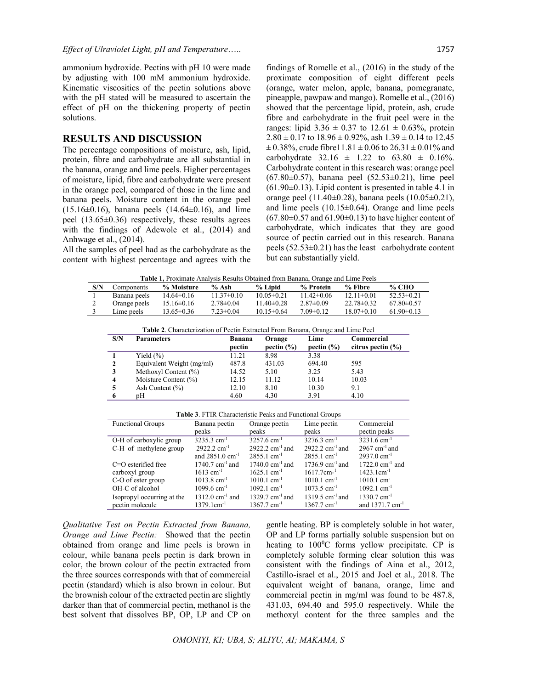ammonium hydroxide. Pectins with pH 10 were made by adjusting with 100 mM ammonium hydroxide. Kinematic viscosities of the pectin solutions above with the pH stated will be measured to ascertain the effect of pH on the thickening property of pectin solutions.

## **RESULTS AND DISCUSSION**

The percentage compositions of moisture, ash, lipid, protein, fibre and carbohydrate are all substantial in the banana, orange and lime peels. Higher percentages of moisture, lipid, fibre and carbohydrate were present in the orange peel, compared of those in the lime and banana peels. Moisture content in the orange peel  $(15.16\pm0.16)$ , banana peels  $(14.64\pm0.16)$ , and lime peel (13.65±0.36) respectively, these results agrees with the findings of Adewole et al., (2014) and Anhwage et al., (2014).

All the samples of peel had as the carbohydrate as the content with highest percentage and agrees with the

findings of Romelle et al., (2016) in the study of the proximate composition of eight different peels (orange, water melon, apple, banana, pomegranate, pineapple, pawpaw and mango). Romelle et al., (2016) showed that the percentage lipid, protein, ash, crude fibre and carbohydrate in the fruit peel were in the ranges: lipid  $3.36 \pm 0.37$  to  $12.61 \pm 0.63$ %, protein  $2.80 \pm 0.17$  to  $18.96 \pm 0.92\%$ , ash  $1.39 \pm 0.14$  to  $12.45$  $\pm$  0.38%, crude fibre11.81  $\pm$  0.06 to 26.31  $\pm$  0.01% and carbohydrate  $32.16 \pm 1.22$  to  $63.80 \pm 0.16\%$ . Carbohydrate content in this research was: orange peel  $(67.80\pm0.57)$ , banana peel  $(52.53\pm0.21)$ , lime peel  $(61.90\pm0.13)$ . Lipid content is presented in table 4.1 in orange peel  $(11.40\pm0.28)$ , banana peels  $(10.05\pm0.21)$ , and lime peels  $(10.15\pm0.64)$ . Orange and lime peels  $(67.80\pm0.57$  and  $61.90\pm0.13$ ) to have higher content of carbohydrate, which indicates that they are good source of pectin carried out in this research. Banana peels  $(52.53\pm0.21)$  has the least carbohydrate content but can substantially yield.

**Table 1,** Proximate Analysis Results Obtained from Banana, Orange and Lime Peels

|     | <b>Table 1,</b> I formate Than you recounts Countried from Danaha, Change and Ellife I cens |                  |                  |                  |                 |                  |                |
|-----|---------------------------------------------------------------------------------------------|------------------|------------------|------------------|-----------------|------------------|----------------|
| S/N | <b>Components</b>                                                                           | % Moisture       | % Ash            | % Lipid          | % Protein       | % Fibre          | <b>% CHO</b>   |
|     | Banana peels                                                                                | $14.64 \pm 0.16$ | $11.37 \pm 0.10$ | $10.05 \pm 0.21$ | $11.42\pm0.06$  | $12.11 \pm 0.01$ | $52.53\pm0.21$ |
|     | Orange peels                                                                                | $15.16 \pm 0.16$ | $2.78 \pm 0.04$  | $11.40 \pm 0.28$ | $2.87\pm0.09$   | $22.78 \pm 0.32$ | $67.80\pm0.57$ |
|     | Lime peels                                                                                  | $13.65 \pm 0.36$ | $7.23 \pm 0.04$  | $10.15 \pm 0.64$ | $7.09 \pm 0.12$ | $18.07\pm0.10$   | $61.90\pm0.13$ |

**Table 2**. Characterization of Pectin Extracted From Banana, Orange and Lime Peel

| S/N | <b>Parameters</b>         | <b>Banana</b> | Orange         | Lime           | Commercial            |
|-----|---------------------------|---------------|----------------|----------------|-----------------------|
|     |                           | pectin        | pectin $(\% )$ | pectin $(\% )$ | citrus pectin $(\% )$ |
|     | Yield $(\% )$             | 11.21         | 8.98           | 3.38           |                       |
|     | Equivalent Weight (mg/ml) | 487.8         | 431.03         | 694.40         | 595                   |
| 3   | Methoxyl Content $(\%)$   | 14.52         | 5.10           | 3.25           | 5.43                  |
| 4   | Moisture Content (%)      | 12.15         | 11.12          | 10.14          | 10.03                 |
|     | Ash Content $(\% )$       | 12.10         | 8.10           | 10.30          | 9.1                   |
| 6   | pΗ                        | 4.60          | 4.30           | 3.91           | 4.10                  |

**Table 3**. FTIR Characteristic Peaks and Functional Groups

| <b>Functional Groups</b>   | Banana pectin                 | Orange pectin             | Lime pectin                   | Commercial                    |
|----------------------------|-------------------------------|---------------------------|-------------------------------|-------------------------------|
|                            | peaks                         | peaks                     | peaks                         | pectin peaks                  |
| O-H of carboxylic group    | 3235.3 cm <sup>-1</sup>       | $3257.6$ cm <sup>-1</sup> | $3276.3$ cm <sup>-1</sup>     | $3231.6$ cm <sup>-1</sup>     |
| C-H of methylene group     | $2922.2$ cm <sup>-1</sup>     | 2922.2 $cm^{-1}$ and      | 2922.2 $cm^{-1}$ and          | 2967 cm <sup>-1</sup> and     |
|                            | and $2851.0 \text{ cm}^{-1}$  | $2855.1$ cm <sup>-1</sup> | $2855.1$ cm <sup>-1</sup>     | $2937.0 \text{ cm}^{-1}$      |
| $C=O$ esterified free      | 1740.7 $cm^{-1}$ and          | 1740.0 $cm^{-1}$ and      | $1736.9$ cm <sup>-1</sup> and | 1722.0 $cm^{-1}$ and          |
| carboxyl group             | $1613$ cm <sup>-1</sup>       | $1625.1$ cm <sup>-1</sup> | $1617.7cm^{-1}$               | $1423.1cm^{-1}$               |
| C-O of ester group         | $1013.8$ cm <sup>-1</sup>     | $1010.1$ cm <sup>-1</sup> | $1010.1$ cm <sup>-1</sup>     | $1010.1 \text{ cm}^{-1}$      |
| OH-C of alcohol            | $1099.6$ cm <sup>-1</sup>     | $1092.1$ cm <sup>-1</sup> | $1073.5$ cm <sup>-1</sup>     | $1092.1$ cm <sup>-1</sup>     |
| Isopropyl occurring at the | $1312.0$ cm <sup>-1</sup> and | 1329.7 $cm^{-1}$ and      | 1319.5 $cm^{-1}$ and          | $1330.7$ cm <sup>-1</sup>     |
| pectin molecule            | $1379.1cm^{-1}$               | $1367.7$ cm <sup>-1</sup> | $1367.7$ cm <sup>-1</sup>     | and $1371.7$ cm <sup>-1</sup> |

*Qualitative Test on Pectin Extracted from Banana, Orange and Lime Pectin:* Showed that the pectin obtained from orange and lime peels is brown in colour, while banana peels pectin is dark brown in color, the brown colour of the pectin extracted from the three sources corresponds with that of commercial pectin (standard) which is also brown in colour. But the brownish colour of the extracted pectin are slightly darker than that of commercial pectin, methanol is the best solvent that dissolves BP, OP, LP and CP on

gentle heating. BP is completely soluble in hot water, OP and LP forms partially soluble suspension but on heating to 100°C forms yellow precipitate. CP is completely soluble forming clear solution this was consistent with the findings of Aina et al., 2012, Castillo-israel et al., 2015 and Joel et al., 2018. The equivalent weight of banana, orange, lime and commercial pectin in mg/ml was found to be 487.8, 431.03, 694.40 and 595.0 respectively. While the methoxyl content for the three samples and the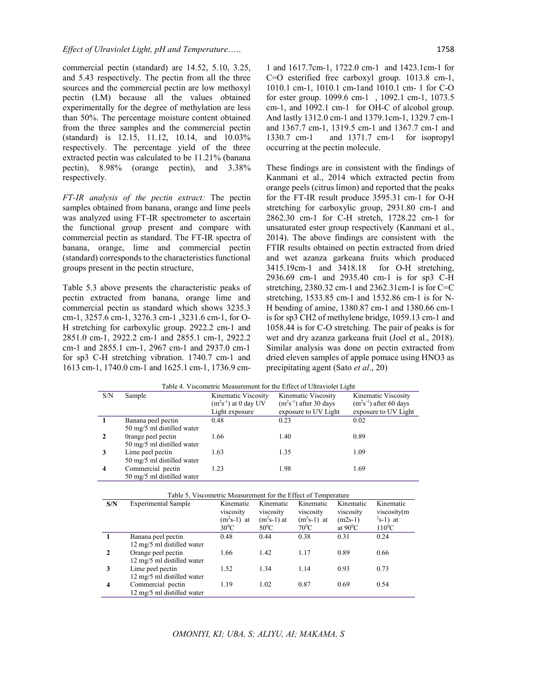commercial pectin (standard) are 14.52, 5.10, 3.25, and 5.43 respectively. The pectin from all the three sources and the commercial pectin are low methoxyl pectin (LM) because all the values obtained experimentally for the degree of methylation are less than 50%. The percentage moisture content obtained from the three samples and the commercial pectin (standard) is 12.15, 11.12, 10.14, and 10.03% respectively. The percentage yield of the three extracted pectin was calculated to be 11.21% (banana pectin), 8.98% (orange pectin), and 3.38% respectively.

*FT-IR analysis of the pectin extract:* The pectin samples obtained from banana, orange and lime peels was analyzed using FT-IR spectrometer to ascertain the functional group present and compare with commercial pectin as standard. The FT-IR spectra of banana, orange, lime and commercial pectin (standard) corresponds to the characteristics functional groups present in the pectin structure,

Table 5.3 above presents the characteristic peaks of pectin extracted from banana, orange lime and commercial pectin as standard which shows 3235.3 cm-1, 3257.6 cm-1, 3276.3 cm-1 ,3231.6 cm-1, for O-H stretching for carboxylic group. 2922.2 cm-1 and 2851.0 cm-1, 2922.2 cm-1 and 2855.1 cm-1, 2922.2 cm-1 and 2855.1 cm-1, 2967 cm-1 and 2937.0 cm-1 for sp3 C-H stretching vibration. 1740.7 cm-1 and 1613 cm-1, 1740.0 cm-1 and 1625.1 cm-1, 1736.9 cm-

1 and 1617.7cm-1, 1722.0 cm-1 and 1423.1cm-1 for C=O esterified free carboxyl group. 1013.8 cm-1, 1010.1 cm-1, 1010.1 cm-1and 1010.1 cm- 1 for C-O for ester group. 1099.6 cm-1 , 1092.1 cm-1, 1073.5 cm-1, and 1092.1 cm-1 for OH-C of alcohol group. And lastly 1312.0 cm-1 and 1379.1cm-1, 1329.7 cm-1 and 1367.7 cm-1, 1319.5 cm-1 and 1367.7 cm-1 and 1330.7 cm-1 and 1371.7 cm-1 for isopropyl occurring at the pectin molecule.

These findings are in consistent with the findings of Kanmani et al., 2014 which extracted pectin from orange peels (citrus limon) and reported that the peaks for the FT-IR result produce 3595.31 cm-1 for O-H stretching for carboxylic group, 2931.80 cm-1 and 2862.30 cm-1 for C-H stretch, 1728.22 cm-1 for unsaturated ester group respectively (Kanmani et al., 2014). The above findings are consistent with the FTIR results obtained on pectin extracted from dried and wet azanza garkeana fruits which produced 3415.19cm-1 and 3418.18 for O-H stretching, 2936.69 cm-1 and 2935.40 cm-1 is for sp3 C-H stretching, 2380.32 cm-1 and 2362.31cm-1 is for C=C stretching, 1533.85 cm-1 and 1532.86 cm-1 is for N-H bending of amine, 1380.87 cm-1 and 1380.66 cm-1 is for sp3 CH2 of methylene bridge, 1059.13 cm-1 and 1058.44 is for C-O stretching. The pair of peaks is for wet and dry azanza garkeana fruit (Joel et al., 2018). Similar analysis was done on pectin extracted from dried eleven samples of apple pomace using HNO3 as precipitating agent (Sato *et al*., 20)

| Table 4. Viscometric Measurement for the Effect of Ultraviolet Light |                                                           |                                                                |                                                                        |                                                                        |  |  |
|----------------------------------------------------------------------|-----------------------------------------------------------|----------------------------------------------------------------|------------------------------------------------------------------------|------------------------------------------------------------------------|--|--|
| S/N                                                                  | Sample                                                    | Kinematic Viscosity<br>$(m2s-1)$ at 0 day UV<br>Light exposure | Kinematic Viscosity<br>$(m2s-1)$ after 30 days<br>exposure to UV Light | Kinematic Viscosity<br>$(m2s-1)$ after 60 days<br>exposure to UV Light |  |  |
| $\mathbf{1}$                                                         | Banana peel pectin<br>50 mg/5 ml distilled water          | 0.48                                                           | 0.23                                                                   | 0.02                                                                   |  |  |
| $\overline{2}$                                                       | Orange peel pectin<br>50 mg/5 ml distilled water          | 1.66                                                           | 1.40                                                                   | 0.89                                                                   |  |  |
| 3                                                                    | Lime peel pectin<br>50 mg/5 ml distilled water            | 1.63                                                           | 1.35                                                                   | 1.09                                                                   |  |  |
| $\overline{\mathbf{4}}$                                              | Commercial pectin<br>$50 \text{ mo/s}$ ml distilled water | 1.23                                                           | 1.98                                                                   | 1.69                                                                   |  |  |

| Orange peel pectin         | 1.66 | 1.40 | 0.89 |
|----------------------------|------|------|------|
| 50 mg/5 ml distilled water |      |      |      |
| Lime peel pectin           | 1.63 | 1.35 | 1.09 |
| 50 mg/5 ml distilled water |      |      |      |
| Commercial pectin          | 1.23 | 1.98 | 1.69 |
| 50 mg/5 ml distilled water |      |      |      |
|                            |      |      |      |
| $-11 - 17$                 | .    |      |      |

|              | Table 5, Viscometric Measurement for the Effect of Temperature |                                                    |                                                    |                                                   |                                                          |                                                     |  |
|--------------|----------------------------------------------------------------|----------------------------------------------------|----------------------------------------------------|---------------------------------------------------|----------------------------------------------------------|-----------------------------------------------------|--|
| S/N          | <b>Experimental Sample</b>                                     | Kinematic<br>viscosity<br>$(m^2s-1)$ at<br>$30^0C$ | Kinematic<br>viscosity<br>$(m2s-1)$ at<br>$50^0$ C | Kinematic<br>viscosity<br>$(m2s-1)$ at<br>$70^0C$ | Kinematic<br>viscosity<br>$(m2s-1)$<br>at $90^{\circ}$ C | Kinematic<br>viscosity(m<br>$2s-1$ ) at<br>$110^0C$ |  |
|              | Banana peel pectin                                             | 0.48                                               | 0.44                                               | 0.38                                              | 0.31                                                     | 0.24                                                |  |
|              | 12 mg/5 ml distilled water                                     |                                                    |                                                    |                                                   |                                                          |                                                     |  |
| $\mathbf{2}$ | Orange peel pectin                                             | 1.66                                               | 1.42                                               | 1.17                                              | 0.89                                                     | 0.66                                                |  |
|              | 12 mg/5 ml distilled water                                     |                                                    |                                                    |                                                   |                                                          |                                                     |  |
| 3            | Lime peel pectin                                               | 1.52                                               | 1.34                                               | 1.14                                              | 0.93                                                     | 0.73                                                |  |
|              | 12 mg/5 ml distilled water                                     |                                                    |                                                    |                                                   |                                                          |                                                     |  |
| 4            | Commercial pectin                                              | 1.19                                               | 1.02                                               | 0.87                                              | 0.69                                                     | 0.54                                                |  |
|              | 12 mg/5 ml distilled water                                     |                                                    |                                                    |                                                   |                                                          |                                                     |  |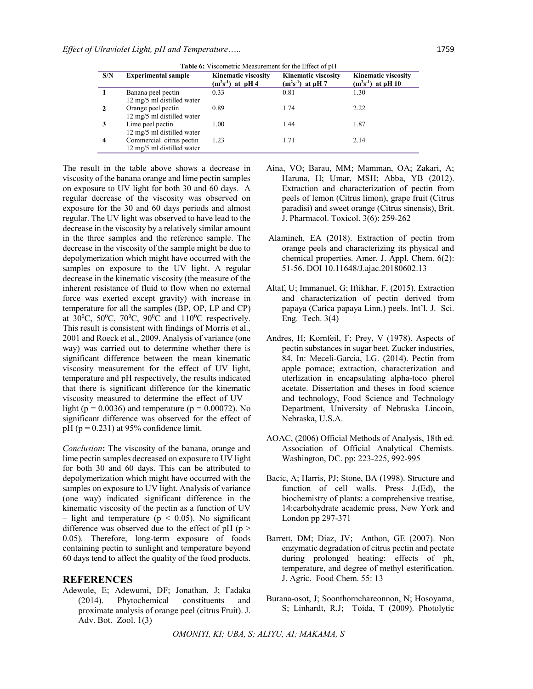|  | <b>Table 6:</b> Viscometric Measurement for the Effect of pH |  |
|--|--------------------------------------------------------------|--|
|--|--------------------------------------------------------------|--|

| S/N | <b>Experimental sample</b>                             | <b>Kinematic viscosity</b><br>$(m^2s^{-1})$ at pH 4 | <b>Kinematic viscosity</b><br>$(m^2s^{-1})$ at pH 7 | <b>Kinematic viscosity</b><br>$(m^2s^{-1})$ at pH 10 |
|-----|--------------------------------------------------------|-----------------------------------------------------|-----------------------------------------------------|------------------------------------------------------|
|     | Banana peel pectin                                     | 0.33                                                | 0.81                                                | 1.30                                                 |
|     | 12 mg/5 ml distilled water<br>Orange peel pectin       | 0.89                                                | 1.74                                                | 2.22                                                 |
|     | 12 mg/5 ml distilled water                             | 1.00                                                | 1.44                                                | 1.87                                                 |
|     | Lime peel pectin<br>12 mg/5 ml distilled water         |                                                     |                                                     |                                                      |
| 4   | Commercial citrus pectin<br>12 mg/5 ml distilled water | 1.23                                                | 1.71                                                | 2.14                                                 |
|     |                                                        |                                                     |                                                     |                                                      |

The result in the table above shows a decrease in viscosity of the banana orange and lime pectin samples on exposure to UV light for both 30 and 60 days. A regular decrease of the viscosity was observed on exposure for the 30 and 60 days periods and almost regular. The UV light was observed to have lead to the decrease in the viscosity by a relatively similar amount in the three samples and the reference sample. The decrease in the viscosity of the sample might be due to depolymerization which might have occurred with the samples on exposure to the UV light. A regular decrease in the kinematic viscosity (the measure of the inherent resistance of fluid to flow when no external force was exerted except gravity) with increase in temperature for all the samples (BP, OP, LP and CP) at  $30^0C$ ,  $50^0C$ ,  $70^0C$ ,  $90^0C$  and  $110^0C$  respectively. This result is consistent with findings of Morris et al., 2001 and Roeck et al., 2009. Analysis of variance (one way) was carried out to determine whether there is significant difference between the mean kinematic viscosity measurement for the effect of UV light, temperature and pH respectively, the results indicated that there is significant difference for the kinematic viscosity measured to determine the effect of UV – light ( $p = 0.0036$ ) and temperature ( $p = 0.00072$ ). No significant difference was observed for the effect of pH ( $p = 0.231$ ) at 95% confidence limit.

*Conclusion***:** The viscosity of the banana, orange and lime pectin samples decreased on exposure to UV light for both 30 and 60 days. This can be attributed to depolymerization which might have occurred with the samples on exposure to UV light. Analysis of variance (one way) indicated significant difference in the kinematic viscosity of the pectin as a function of UV – light and temperature ( $p \le 0.05$ ). No significant difference was observed due to the effect of  $pH$  ( $p >$ 0.05). Therefore, long-term exposure of foods containing pectin to sunlight and temperature beyond 60 days tend to affect the quality of the food products.

#### **REFERENCES**

Adewole, E; Adewumi, DF; Jonathan, J; Fadaka (2014). Phytochemical constituents and proximate analysis of orange peel (citrus Fruit). J. Adv. Bot. Zool. 1(3)

- Aina, VO; Barau, MM; Mamman, OA; Zakari, A; Haruna, H; Umar, MSH; Abba, YB (2012). Extraction and characterization of pectin from peels of lemon (Citrus limon), grape fruit (Citrus paradisi) and sweet orange (Citrus sinensis), Brit. J. Pharmacol. Toxicol. 3(6): 259-262
- Alamineh, EA (2018). Extraction of pectin from orange peels and characterizing its physical and chemical properties. Amer. J. Appl. Chem. 6(2): 51-56. DOI 10.11648/J.ajac.20180602.13
- Altaf, U; Immanuel, G; Iftikhar, F, (2015). Extraction and characterization of pectin derived from papaya (Carica papaya Linn.) peels. Int'l. J. Sci. Eng. Tech. 3(4)
- Andres, H; Kornfeil, F; Prey, V (1978). Aspects of pectin substances in sugar beet. Zucker industries, 84. In: Meceli-Garcia, LG. (2014). Pectin from apple pomace; extraction, characterization and uterlization in encapsulating alpha-toco pherol acetate. Dissertation and theses in food science and technology, Food Science and Technology Department, University of Nebraska Lincoin, Nebraska, U.S.A.
- AOAC, (2006) Official Methods of Analysis, 18th ed. Association of Official Analytical Chemists. Washington, DC. pp: 223-225, 992-995
- Bacic, A; Harris, PJ; Stone, BA (1998). Structure and function of cell walls. Press J.(Ed), the biochemistry of plants: a comprehensive treatise, 14:carbohydrate academic press, New York and London pp 297-371
- Barrett, DM; Diaz, JV; Anthon, GE (2007). Non enzymatic degradation of citrus pectin and pectate during prolonged heating: effects of ph, temperature, and degree of methyl esterification. J. Agric. Food Chem. 55: 13
- Burana-osot, J; Soonthornchareonnon, N; Hosoyama, S; Linhardt, R.J; Toida, T (2009). Photolytic